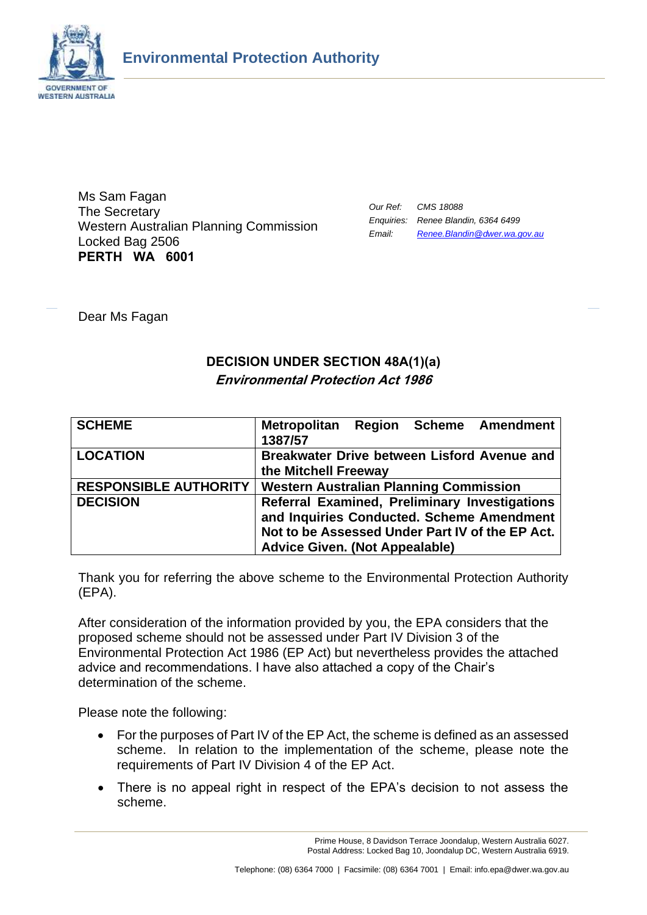

Ms Sam Fagan The Secretary Western Australian Planning Commission Locked Bag 2506 **PERTH WA 6001**

| Our Ref: | CMS 18088                           |
|----------|-------------------------------------|
|          | Enquiries: Renee Blandin, 6364 6499 |
| Email:   | Renee. Blandin @dwer. wa. gov. au   |

Dear Ms Fagan

# **DECISION UNDER SECTION 48A(1)(a) Environmental Protection Act 1986**

| <b>SCHEME</b>                | <b>Region Scheme Amendment</b><br><b>Metropolitan</b> |
|------------------------------|-------------------------------------------------------|
|                              | 1387/57                                               |
| <b>LOCATION</b>              | Breakwater Drive between Lisford Avenue and           |
|                              | the Mitchell Freeway                                  |
| <b>RESPONSIBLE AUTHORITY</b> | <b>Western Australian Planning Commission</b>         |
| <b>DECISION</b>              | Referral Examined, Preliminary Investigations         |
|                              | and Inquiries Conducted. Scheme Amendment             |
|                              | Not to be Assessed Under Part IV of the EP Act.       |
|                              | <b>Advice Given. (Not Appealable)</b>                 |

Thank you for referring the above scheme to the Environmental Protection Authority (EPA).

After consideration of the information provided by you, the EPA considers that the proposed scheme should not be assessed under Part IV Division 3 of the Environmental Protection Act 1986 (EP Act) but nevertheless provides the attached advice and recommendations. I have also attached a copy of the Chair's determination of the scheme.

Please note the following:

- For the purposes of Part IV of the EP Act, the scheme is defined as an assessed scheme. In relation to the implementation of the scheme, please note the requirements of Part IV Division 4 of the EP Act.
- There is no appeal right in respect of the EPA's decision to not assess the scheme.

Prime House, 8 Davidson Terrace Joondalup, Western Australia 6027. Postal Address: Locked Bag 10, Joondalup DC, Western Australia 6919.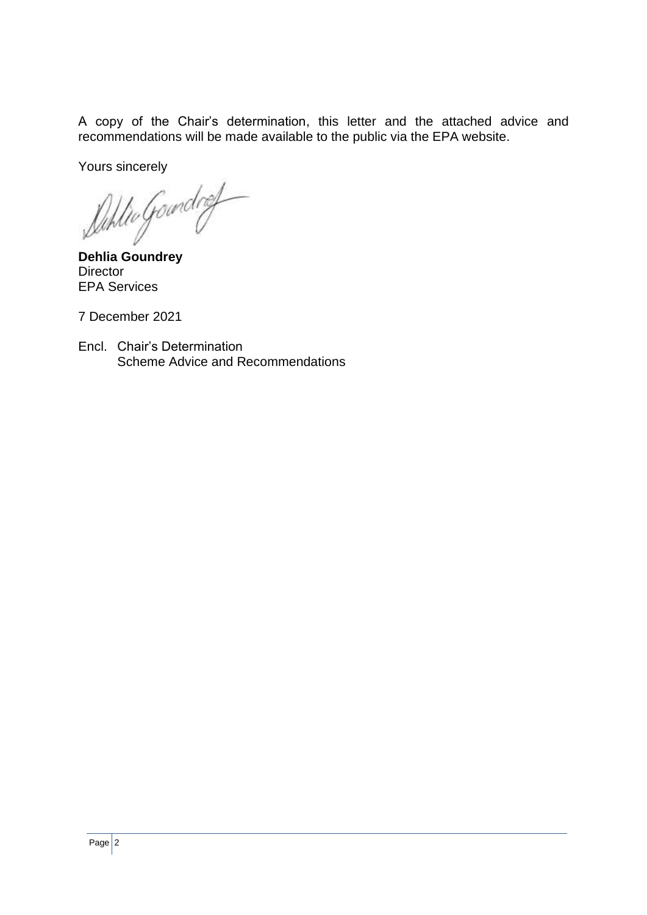A copy of the Chair's determination, this letter and the attached advice and recommendations will be made available to the public via the EPA website.

Yours sincerely

**Duhlio** Goundrey

**Director** EPA Services

7 December 2021

Encl. Chair's Determination Scheme Advice and Recommendations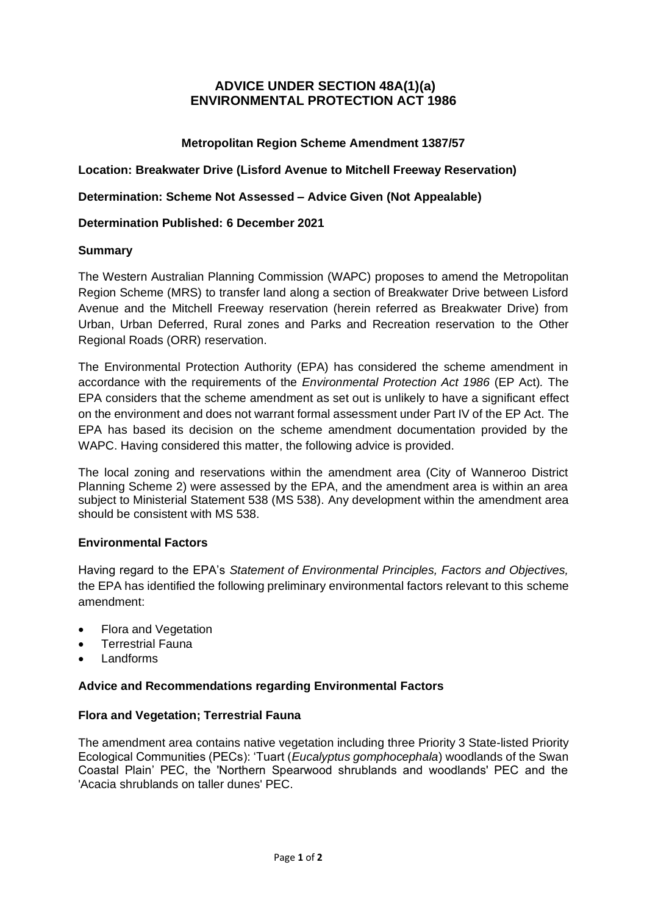# **ADVICE UNDER SECTION 48A(1)(a) ENVIRONMENTAL PROTECTION ACT 1986**

# **Metropolitan Region Scheme Amendment 1387/57**

**Location: Breakwater Drive (Lisford Avenue to Mitchell Freeway Reservation)**

**Determination: Scheme Not Assessed – Advice Given (Not Appealable)**

## **Determination Published: 6 December 2021**

#### **Summary**

The Western Australian Planning Commission (WAPC) proposes to amend the Metropolitan Region Scheme (MRS) to transfer land along a section of Breakwater Drive between Lisford Avenue and the Mitchell Freeway reservation (herein referred as Breakwater Drive) from Urban, Urban Deferred, Rural zones and Parks and Recreation reservation to the Other Regional Roads (ORR) reservation.

The Environmental Protection Authority (EPA) has considered the scheme amendment in accordance with the requirements of the *Environmental Protection Act 1986* (EP Act)*.* The EPA considers that the scheme amendment as set out is unlikely to have a significant effect on the environment and does not warrant formal assessment under Part IV of the EP Act. The EPA has based its decision on the scheme amendment documentation provided by the WAPC. Having considered this matter, the following advice is provided.

The local zoning and reservations within the amendment area (City of Wanneroo District Planning Scheme 2) were assessed by the EPA, and the amendment area is within an area subject to Ministerial Statement 538 (MS 538). Any development within the amendment area should be consistent with MS 538.

## **Environmental Factors**

Having regard to the EPA's *Statement of Environmental Principles, Factors and Objectives,*  the EPA has identified the following preliminary environmental factors relevant to this scheme amendment:

- Flora and Vegetation
- Terrestrial Fauna
- **Landforms**

## **Advice and Recommendations regarding Environmental Factors**

## **Flora and Vegetation; Terrestrial Fauna**

The amendment area contains native vegetation including three Priority 3 State-listed Priority Ecological Communities (PECs): 'Tuart (*Eucalyptus gomphocephala*) woodlands of the Swan Coastal Plain' PEC, the 'Northern Spearwood shrublands and woodlands' PEC and the 'Acacia shrublands on taller dunes' PEC.